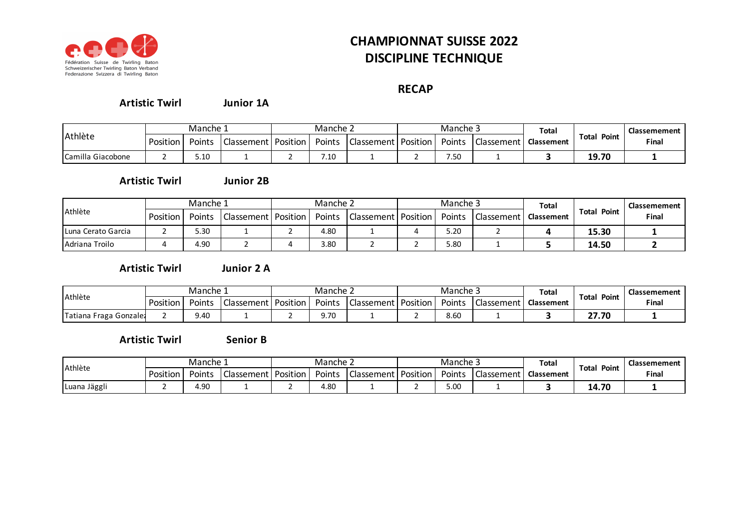

## **CHAMPIONNAT SUISSE 2022 DISCIPLINE TECHNIQUE**

## **RECAP**

**Junior 1A Artistic Twirl**

|                   | Manche 1 |        |                       | Manche ∠ |        |                            | Manche: |                   | Total             |                         | <b>Classemement</b> |
|-------------------|----------|--------|-----------------------|----------|--------|----------------------------|---------|-------------------|-------------------|-------------------------|---------------------|
| Athlète           | Position | Points | Classement   Position |          | Points | <b>Classement Position</b> | Points  | <b>Classement</b> | <b>Classement</b> | Point<br>Total<br>19.70 | Final               |
| Camilla Giacobone |          | 5.10   |                       |          | 7.10   |                            | 7.50    |                   |                   |                         |                     |

**Junior 2B Artistic Twirl**

|                    | Manche 1 |        |                                | Manche 2 |               |                                | Manche 5 |                   | Total             |                | Classemement |
|--------------------|----------|--------|--------------------------------|----------|---------------|--------------------------------|----------|-------------------|-------------------|----------------|--------------|
| Athlète            | Position | Points | <b>Classement   Position  </b> |          | <b>Points</b> | <b>Classement   Position  </b> | Points   | <b>Classement</b> | <b>Classement</b> | Point<br>Total | Final        |
| Luna Cerato Garcia | _        | 5.30   |                                |          | 4.80          |                                | 5.20     |                   |                   | 15.30          |              |
| Adriana Troilo     |          | 4.90   |                                |          | 3.80          |                                | 5.80     |                   |                   | 14.50          |              |

**Artistic Twirl**

**Junior 2 A**

| Athlète                | Manche 1 |        |              | Manche 2        |               |                       | Manche 3 |            | Tota.             | Total<br>Point | Classemement |
|------------------------|----------|--------|--------------|-----------------|---------------|-----------------------|----------|------------|-------------------|----------------|--------------|
|                        | Position | Points | Classement l | <b>Position</b> | <b>Points</b> | Classement   Position | Points   | Classement | <b>Classement</b> |                | <b>Final</b> |
| Tatiana Fraga Gonzale: |          | 9.40   |              |                 | J.7C          |                       | 8.60     |            |                   | 27.70          |              |

**Senior B Artistic Twirl**

|              | Manche 1 |        |                          | ے Manche   |               |            |          | Manche 3 |            | Tota.             |                | <b>Classemement</b> |
|--------------|----------|--------|--------------------------|------------|---------------|------------|----------|----------|------------|-------------------|----------------|---------------------|
| Athlète      | Position | Points | Classement <b>Classe</b> | I Position | <b>Points</b> | Classement | Position | Points   | Classement | <b>Classement</b> | Point<br>Total | Final               |
| Luana Jäggli |          | 4.90   |                          |            | 4.80          |            | . .      | 5.OC     |            |                   | 14.70          |                     |